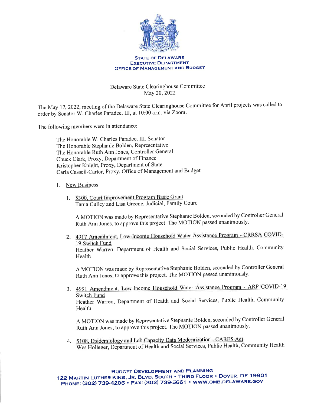

## STATE OF DELAWARE EXECUTIVE DEPARTMENT OFFICE OF MANAGEMENT AND BUDGET

Delaware State Clearinghouse Committee May 20,2022

The May 17, 2022, meeting of the Delaware State Clearinghouse Committee for April projects was called to order by Senator W. Charles Paradee, III, at 10:00 a.m. via Zoom.

The following members were in attendance:

The Honorable W. Charles Paradee, III, Senator The Honorable Stephanie Bolden, Representative The Honorable Ruth Ann Jones, Controller General Chuck Clark, Proxy, Department of Finance Kristopher Knight, Proxy, Department of State Carla Cassell-Carter, Proxy, Office of Management and Budget

I. New Business

Health

1. 5300. Court Improvement Program Basic Grant Tania Culley and Lisa Greene, Judicial, Family Court

A MOTION was made by Representative Stephanie Bolden, seconded by Controller General Ruth Ann Jones, to approve this project. The MOTION passed unanimously.

2. 4917 Amendment, Low-Income Household Water Assistance Program - CRRSA COVID-19 Switch Fund Heather Warren, Department of Health and Social Services, Public Health, Community

A MOTION was made by Representative Stephanie Bolden, seconded by Controller General Ruth Ann Jones, to approve ihis project. The MoTION passed unanimously.

3. 4991 Amendment, Low-Income Household Water Assistance Program - ARP COVID-19 Switch Fund Heather Warren, Department of Health and Social Services, Public Health, Community Health

A MOTION was made by Representative Stephanie Bolden, seconded by Controller General Ruth Ann Jones, to approve this project. The MOTION passed unanimously.

4. 5108, Epidemiology and Lab Capacity Data Modernization - CARES Act Wes Holleger, Department of Health and Social Services, Public Health, Community Health

BUDGET DEVELOPMENT AND PLANNING

122 MARTIN LUTHER KING, JR. BLVD. SOUTH . THIRD FLOOR . DOVER, DE 19901 PHONE: (302) 739-4206 · FAX: (302) 739-5661 · WWW.OMB.DELAWARE.GOV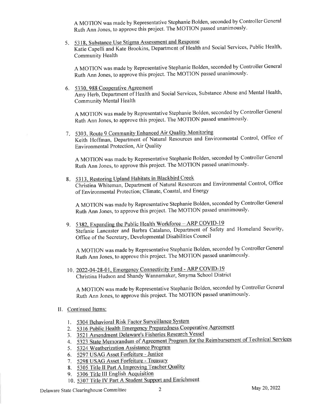A MOTION was made by Representative Stephanie Bolden, seconded by Controller General Ruth Ann Jones, to approve lhis project. The MoTION passed unanimously.

5 5318. Substance Use Stigma Assessment and Response Katie Capelli and Kate Brookins, Department of Health and Social Services, Public Health,<br>Community Health Community Health

A MOTION was made by Representative Stephanie Bolden, seconded by Controller General Ruth Ann Jones, to approve this project. The MoTION passed unanimously.

6. 5330. 988 Cooperative Agreement Amy Herb, Department of Health and Social Services, Substance Abuse and Mental Health, Community Mental Health

A MOTION was made by Representative Stephanie Bolden, seconded by Controller General Ruth Ann Jones, to approve this project. The MOTION passed unanimously.

7. 5303, Route 9 Community Enhanced Air Keith Hoffman, Department of Natural Resources and Environmental Control, Office of Environmental Protection, Air Quality

A MOTION was made by Representative Stephanie Bolden, seconded by Controller General Ruth Ann Jones, to approve this project. The MOTION passed unanimously.

8 5313. Restoring Upland Habitats in Blackbird Creek Christina Whiteman, Department of Natural Resources and Environmental Control, Office of Environmental Protection; Climate, Coastal, and Energy

A MOTION was made by Representative Stephanie Bolden, seconded by Controller General Ruth Ann Jones, to approve this project. The MoTION passed unanimously.

9. 5382, Expanding the Public Health Workforce - ARP COVID-19 Stefanie Lancaster and Barbra Catalano, Department of Safety and Homeland SecuritY, Office of the Secretary, Developmental Disabilities Council

A MOTION was made by Representative Stephanie Bolden, seconded by Controller General Ruth Ann Jones, to approve this project. The MOTION passed unanimously.

10. 2022-04-28-01, Emergency Connectivity Fund - ARP COVID-19 Christina Hudson and Shandy Wannamaker, Smyrna School District

A MOTION was made by Representative Stephanie Bolden, seconded by Controller General Ruth Ann Jones, to approve this project. The MoTION passed unanimously.

- II. Continued Items:
	- 1. 5304 Behavioral Risk Factor Surveillance System
	- 5316 Public Health Emergency Preparedness cooperative Agreement 2.
	- 3. 3521 Amendment Delaware's Fisheries Research Vessel
	- 4. 5323 State Memorandum of Agreement Program for the Reimbursement of T
	- 5. 5324 Weatherization Assistance Program
	- 6. 5297 USAG Asset Forfeiture Justice
	- 7. 5298 USAG Asset Forfeiture Treasury
	- 8. 5305 Title II Part A Improving Teacher Quality
	- 9. 5306 Title III English Acquisition
	- 10. 5307 Title IV Part A Student Support and Enrichment